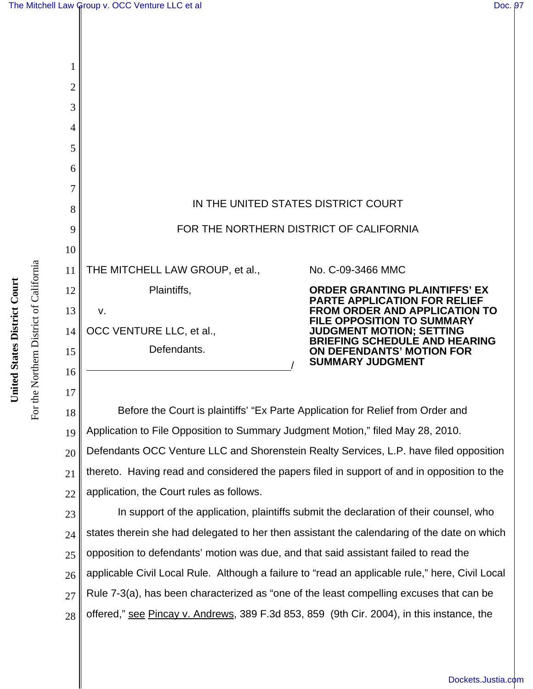

18 19 20 21 22 Before the Court is plaintiffs' "Ex Parte Application for Relief from Order and Application to File Opposition to Summary Judgment Motion," filed May 28, 2010. Defendants OCC Venture LLC and Shorenstein Realty Services, L.P. have filed opposition thereto. Having read and considered the papers filed in support of and in opposition to the application, the Court rules as follows.

23 24 25 26 27 28 In support of the application, plaintiffs submit the declaration of their counsel, who states therein she had delegated to her then assistant the calendaring of the date on which opposition to defendants' motion was due, and that said assistant failed to read the applicable Civil Local Rule. Although a failure to "read an applicable rule," here, Civil Local Rule 7-3(a), has been characterized as "one of the least compelling excuses that can be offered," see Pincay v. Andrews, 389 F.3d 853, 859 (9th Cir. 2004), in this instance, the

For the Northern District of California

For the Northern District of California